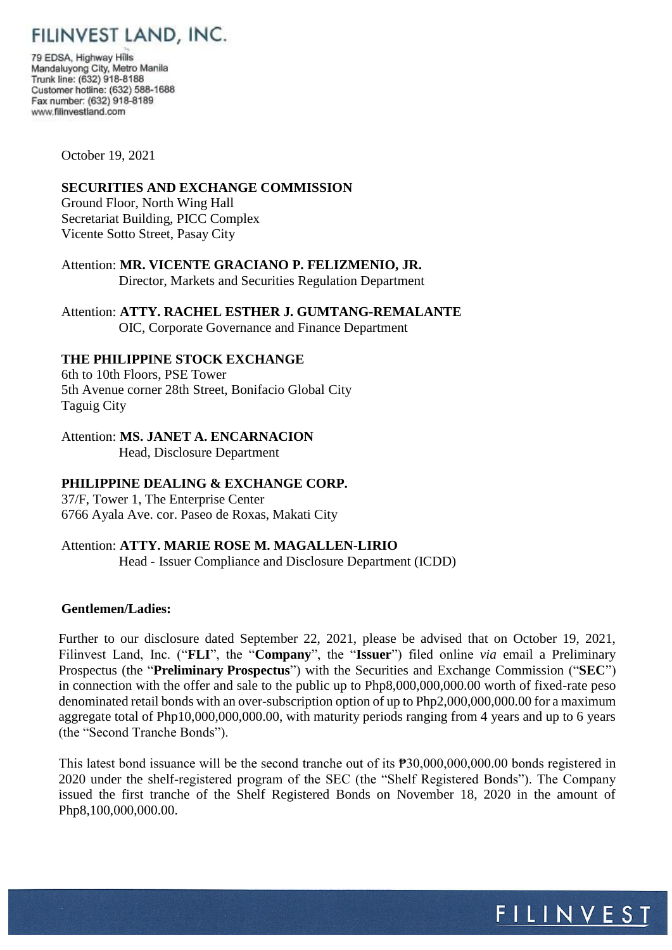# FILINVEST LAND, INC.

79 EDSA, Highway Hills Mandaluyong City, Metro Manila Trunk line: (632) 918-8188 Customer hotline: (632) 588-1688 Fax number: (632) 918-8189 www.filinvestland.com

October 19, 2021

#### **SECURITIES AND EXCHANGE COMMISSION**

Ground Floor, North Wing Hall Secretariat Building, PICC Complex Vicente Sotto Street, Pasay City

Attention: **MR. VICENTE GRACIANO P. FELIZMENIO, JR.** Director, Markets and Securities Regulation Department

Attention: **ATTY. RACHEL ESTHER J. GUMTANG-REMALANTE** OIC, Corporate Governance and Finance Department

## **THE PHILIPPINE STOCK EXCHANGE**

6th to 10th Floors, PSE Tower 5th Avenue corner 28th Street, Bonifacio Global City Taguig City

Attention: **MS. JANET A. ENCARNACION**

Head, Disclosure Department

## **PHILIPPINE DEALING & EXCHANGE CORP.**

37/F, Tower 1, The Enterprise Center 6766 Ayala Ave. cor. Paseo de Roxas, Makati City

## Attention: **ATTY. MARIE ROSE M. MAGALLEN-LIRIO**

Head - Issuer Compliance and Disclosure Department (ICDD)

## **Gentlemen/Ladies:**

Further to our disclosure dated September 22, 2021, please be advised that on October 19, 2021, Filinvest Land, Inc. ("**FLI**", the "**Company**", the "**Issuer**") filed online *via* email a Preliminary Prospectus (the "**Preliminary Prospectus**") with the Securities and Exchange Commission ("**SEC**") in connection with the offer and sale to the public up to Php8,000,000,000.00 worth of fixed-rate peso denominated retail bonds with an over-subscription option of up to Php2,000,000,000.00 for a maximum aggregate total of Php10,000,000,000.00, with maturity periods ranging from 4 years and up to 6 years (the "Second Tranche Bonds").

This latest bond issuance will be the second tranche out of its  $\overline{P}30,000,000,000.00$  bonds registered in 2020 under the shelf-registered program of the SEC (the "Shelf Registered Bonds"). The Company issued the first tranche of the Shelf Registered Bonds on November 18, 2020 in the amount of Php8,100,000,000.00.